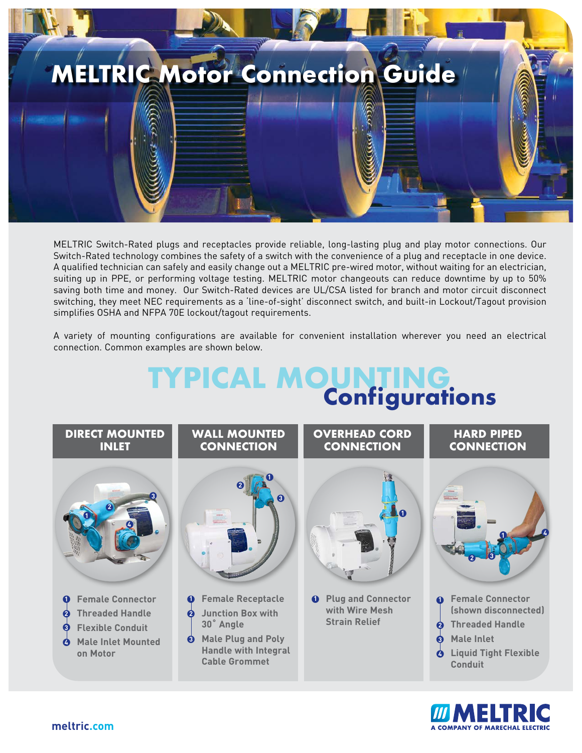

MELTRIC Switch-Rated plugs and receptacles provide reliable, long-lasting plug and play motor connections. Our Switch-Rated technology combines the safety of a switch with the convenience of a plug and receptacle in one device. A qualified technician can safely and easily change out a MELTRIC pre-wired motor, without waiting for an electrician, suiting up in PPE, or performing voltage testing. MELTRIC motor changeouts can reduce downtime by up to 50% saving both time and money. Our Switch-Rated devices are UL/CSA listed for branch and motor circuit disconnect switching, they meet NEC requirements as a 'line-of-sight' disconnect switch, and built-in Lockout/Tagout provision simplifies OSHA and NFPA 70E lockout/tagout requirements.

A variety of mounting configurations are available for convenient installation wherever you need an electrical connection. Common examples are shown below.